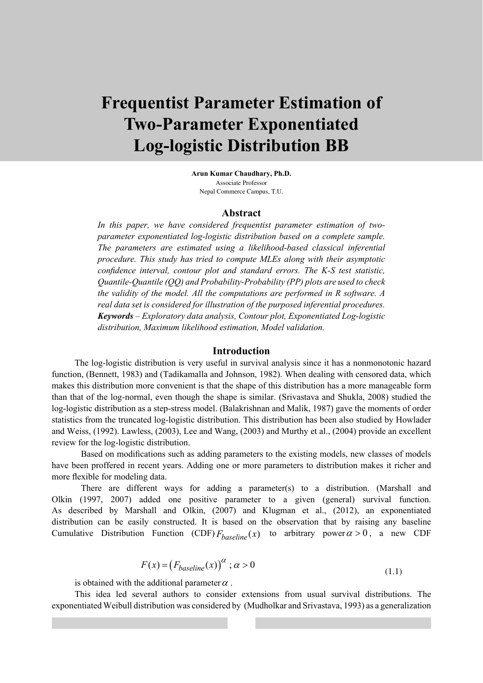# **Frequentist Parameter Estimation of Two-Parameter Exponentiated Log-logistic Distribution BB**

**Arun Kumar Chaudhary, Ph.D.** Associate Professor Nepal Commerce Campus, T.U.

#### **Abstract**

*In this paper, we have considered frequentist parameter estimation of twoparameter exponentiated log-logistic distribution based on a complete sample. The parameters are estimated using a likelihood-based classical inferential procedure. This study has tried to compute MLEs along with their asymptotic confidence interval, contour plot and standard errors. The K-S test statistic, Quantile-Quantile (QQ) and Probability-Probability (PP) plots are used to check the validity of the model. All the computations are performed in R software. A real data set is considered for illustration of the purposed inferential procedures. Keywords – Exploratory data analysis, Contour plot, Exponentiated Log-logistic distribution, Maximum likelihood estimation, Model validation.*

## **Introduction**

The log-logistic distribution is very useful in survival analysis since it has a nonmonotonic hazard function, (Bennett, 1983) and (Tadikamalla and Johnson, 1982). When dealing with censored data, which makes this distribution more convenient is that the shape of this distribution has a more manageable form than that of the log-normal, even though the shape is similar. (Srivastava and Shukla, 2008) studied the log-logistic distribution as a step-stress model. (Balakrishnan and Malik, 1987) gave the moments of order statistics from the truncated log-logistic distribution. This distribution has been also studied by Howlader and Weiss, (1992). Lawless, (2003), Lee and Wang, (2003) and Murthy et al., (2004) provide an excellent review for the log-logistic distribution.

Based on modifications such as adding parameters to the existing models, new classes of models have been proffered in recent years. Adding one or more parameters to distribution makes it richer and more flexible for modeling data.

There are different ways for adding a parameter(s) to a distribution. (Marshall and Olkin (1997, 2007) added one positive parameter to a given (general) survival function. As described by Marshall and Olkin, (2007) and Klugman et al., (2012), an exponentiated distribution can be easily constructed. It is based on the observation that by raising any baseline Cumulative Distribution Function (CDF)  $F_{baseline}(x)$  to arbitrary power  $\alpha > 0$ , a new CDF

$$
F(x) = (F_{baseline}(x))^{\alpha} ; \alpha > 0
$$
\n(1.1)

is obtained with the additional parameter  $\alpha$ .

This idea led several authors to consider extensions from usual survival distributions. The exponentiated Weibull distribution was considered by (Mudholkar and Srivastava, 1993) as a generalization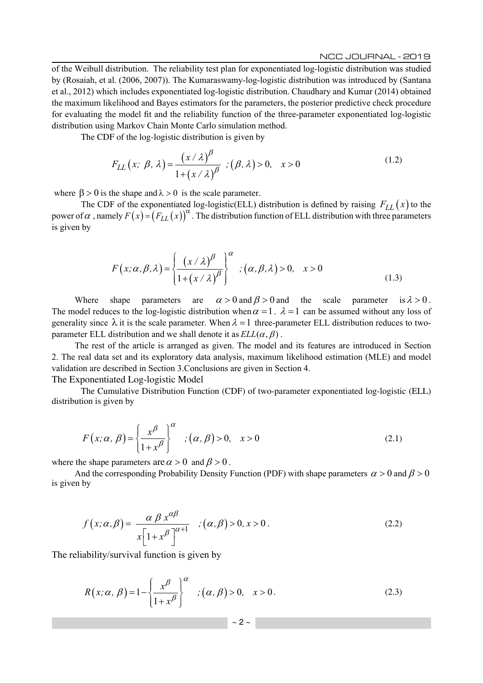of the Weibull distribution. The reliability test plan for exponentiated log-logistic distribution was studied by (Rosaiah, et al. (2006, 2007)). The Kumaraswamy-log-logistic distribution was introduced by (Santana et al., 2012) which includes exponentiated log-logistic distribution. Chaudhary and Kumar (2014) obtained the maximum likelihood and Bayes estimators for the parameters, the posterior predictive check procedure for evaluating the model fit and the reliability function of the three-parameter exponentiated log-logistic distribution using Markov Chain Monte Carlo simulation method.

The CDF of the log-logistic distribution is given by

$$
F_{LL}(x; \beta, \lambda) = \frac{(x/\lambda)^{\beta}}{1 + (x/\lambda)^{\beta}} \; ; (\beta, \lambda) > 0, \quad x > 0 \tag{1.2}
$$

where  $\beta > 0$  is the shape and  $\lambda > 0$  is the scale parameter.

The CDF of the exponentiated log-logistic(ELL) distribution is defined by raising  $F_{LL}(x)$  to the power of  $\alpha$ , namely  $F(x) = (F_{LL}(x))^{\alpha}$ . The distribution function of ELL distribution with three parameters is given by

$$
F(x; \alpha, \beta, \lambda) = \left\{ \frac{(x/\lambda)^{\beta}}{1 + (x/\lambda)^{\beta}} \right\}^{\alpha} ; (\alpha, \beta, \lambda) > 0, x > 0
$$
 (1.3)

Where shape parameters are  $\alpha > 0$  and  $\beta > 0$  and the scale parameter is  $\lambda > 0$ . The model reduces to the log-logistic distribution when  $\alpha = 1$ .  $\lambda = 1$  can be assumed without any loss of generality since  $\lambda$  it is the scale parameter. When  $\lambda = 1$  three-parameter ELL distribution reduces to twoparameter ELL distribution and we shall denote it as  $ELL(\alpha, \beta)$ .

The rest of the article is arranged as given. The model and its features are introduced in Section 2. The real data set and its exploratory data analysis, maximum likelihood estimation (MLE) and model validation are described in Section 3.Conclusions are given in Section 4. The Exponentiated Log-logistic Model

The Cumulative Distribution Function (CDF) of two-parameter exponentiated log-logistic (ELL) distribution is given by

$$
F(x; \alpha, \beta) = \left\{ \frac{x^{\beta}}{1 + x^{\beta}} \right\}^{\alpha} ; (\alpha, \beta) > 0, \quad x > 0
$$
 (2.1)

where the shape parameters are  $\alpha > 0$  and  $\beta > 0$ .

And the corresponding Probability Density Function (PDF) with shape parameters  $\alpha > 0$  and  $\beta > 0$ is given by

$$
f(x; \alpha, \beta) = \frac{\alpha \beta x^{\alpha \beta}}{x \left[1 + x^{\beta}\right]^{\alpha + 1}} \quad ; (\alpha, \beta) > 0, x > 0. \tag{2.2}
$$

The reliability/survival function is given by

$$
R(x; \alpha, \beta) = 1 - \left\{ \frac{x^{\beta}}{1 + x^{\beta}} \right\}^{\alpha} ; (\alpha, \beta) > 0, \quad x > 0.
$$
 (2.3)

 $\sim$  2  $\sim$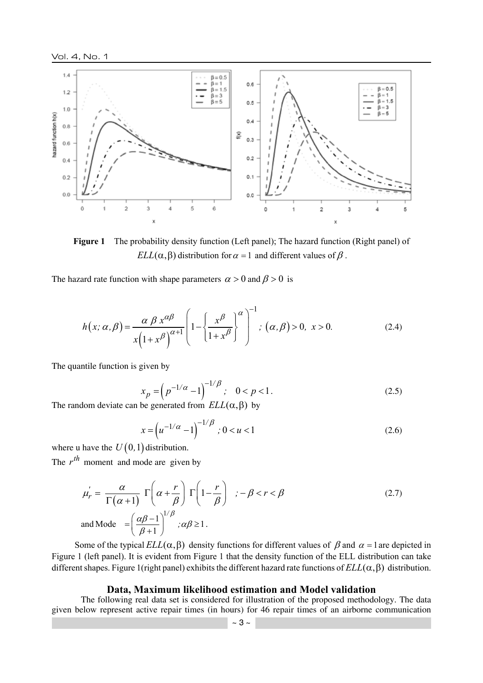

**Figure 1** The probability density function (Left panel); The hazard function (Right panel) of *ELL*( $\alpha$ ,  $\beta$ ) distribution for  $\alpha = 1$  and different values of  $\beta$ .

The hazard rate function with shape parameters  $\alpha > 0$  and  $\beta > 0$  is

$$
h(x; \alpha, \beta) = \frac{\alpha \beta x^{\alpha \beta}}{x(1+x^{\beta})^{\alpha+1}} \left(1 - \left\{\frac{x^{\beta}}{1+x^{\beta}}\right\}^{\alpha}\right)^{-1}; (\alpha, \beta) > 0, x > 0.
$$
 (2.4)

The quantile function is given by

$$
x_p = \left(p^{-1/\alpha} - 1\right)^{-1/\beta}; \quad 0 < p < 1. \tag{2.5}
$$

The random deviate can be generated from  $ELL(\alpha, \beta)$  by

$$
x = \left(u^{-1/\alpha} - 1\right)^{-1/\beta}; 0 < u < 1
$$
\n(2.6)

where u have the  $U(0, 1)$  distribution.

The  $r^{th}$  moment and mode are given by

$$
\mu'_{r} = \frac{\alpha}{\Gamma(\alpha+1)} \Gamma\left(\alpha + \frac{r}{\beta}\right) \Gamma\left(1 - \frac{r}{\beta}\right) \quad ; -\beta < r < \beta
$$
\n
$$
\text{and Mode} = \left(\frac{\alpha\beta - 1}{\beta + 1}\right)^{1/\beta} \quad ; \alpha\beta \ge 1 \, .
$$
\n(2.7)

Some of the typical  $ELL(\alpha, \beta)$  density functions for different values of  $\beta$  and  $\alpha = 1$  are depicted in Figure 1 (left panel). It is evident from Figure 1 that the density function of the ELL distribution can take different shapes. Figure 1(right panel) exhibits the different hazard rate functions of  $ELL(\alpha, \beta)$  distribution.

## **Data, Maximum likelihood estimation and Model validation**

The following real data set is considered for illustration of the proposed methodology. The data given below represent active repair times (in hours) for 46 repair times of an airborne communication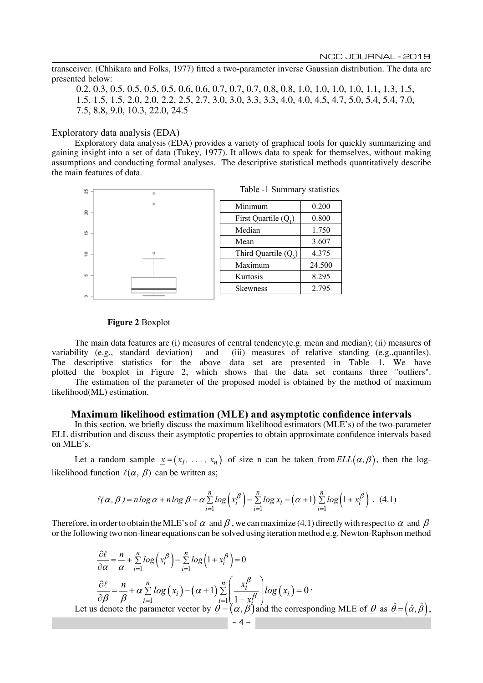transceiver. (Chhikara and Folks, 1977) fitted a two-parameter inverse Gaussian distribution. The data are presented below:

0.2, 0.3, 0.5, 0.5, 0.5, 0.5, 0.6, 0.6, 0.7, 0.7, 0.7, 0.8, 0.8, 1.0, 1.0, 1.0, 1.0, 1.1, 1.3, 1.5, 1.5, 1.5, 1.5, 2.0, 2.0, 2.2, 2.5, 2.7, 3.0, 3.0, 3.3, 3.3, 4.0, 4.0, 4.5, 4.7, 5.0, 5.4, 5.4, 7.0, 7.5, 8.8, 9.0, 10.3, 22.0, 24.5

#### Exploratory data analysis (EDA)

Exploratory data analysis (EDA) provides a variety of graphical tools for quickly summarizing and gaining insight into a set of data (Tukey, 1977). It allows data to speak for themselves, without making assumptions and conducting formal analyses. The descriptive statistical methods quantitatively describe the main features of data.



#### **Figure 2** Boxplot

The main data features are (i) measures of central tendency(e.g. mean and median); (ii) measures of variability (e.g., standard deviation) and (iii) measures of relative standing (e.g.,quantiles). The descriptive statistics for the above data set are presented in Table 1. We have plotted the boxplot in Figure 2, which shows that the data set contains three "outliers". The estimation of the parameter of the proposed model is obtained by the method of maximum likelihood(ML) estimation.

## **Maximum likelihood estimation (MLE) and asymptotic confidence intervals**

In this section, we briefly discuss the maximum likelihood estimators (MLE's) of the two-parameter ELL distribution and discuss their asymptotic properties to obtain approximate confidence intervals based on MLE's.

Let a random sample  $\underline{x} = (x_1, \ldots, x_n)$  of size n can be taken from  $ELL(\alpha, \beta)$ , then the loglikelihood function  $\ell(\alpha, \beta)$  can be written as;

$$
\ell(\alpha, \beta) = n \log \alpha + n \log \beta + \alpha \sum_{i=1}^{n} \log \left( x_i^{\beta} \right) - \sum_{i=1}^{n} \log x_i - (\alpha + 1) \sum_{i=1}^{n} \log \left( 1 + x_i^{\beta} \right). \tag{4.1}
$$

Therefore, in order to obtain the MLE's of  $\alpha$  and  $\beta$ , we can maximize (4.1) directly with respect to  $\alpha$  and  $\beta$ or the following two non-linear equations can be solved using iteration method e.g. Newton-Raphson method

$$
\frac{\partial \ell}{\partial \alpha} = \frac{n}{\alpha} + \sum_{i=1}^{n} \log \left( x_i^{\beta} \right) - \sum_{i=1}^{n} \log \left( 1 + x_i^{\beta} \right) = 0
$$
  

$$
\frac{\partial \ell}{\partial \beta} = \frac{n}{\beta} + \alpha \sum_{i=1}^{n} \log \left( x_i \right) - (\alpha + 1) \sum_{i=1}^{n} \left( \frac{x_i^{\beta}}{1 + x_i^{\beta}} \right) \log \left( x_i \right) = 0
$$
  
Let us denote the parameter vector by  $\underline{\theta} = (\alpha, \beta)$  and the corresponding MLE of  $\underline{\theta}$  as  $\underline{\hat{\theta}} = (\hat{\alpha}, \hat{\beta})$ ,  
 $\sim 4 \sim$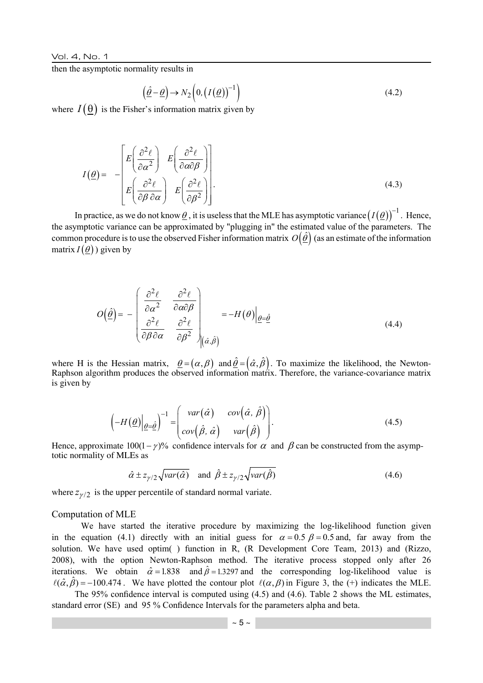then the asymptotic normality results in

$$
\left(\underline{\hat{\theta}} - \underline{\theta}\right) \to N_2 \left(0, \left(I\left(\underline{\theta}\right)\right)^{-1}\right) \tag{4.2}
$$

where  $I(\underline{\theta})$  is the Fisher's information matrix given by

$$
I(\underline{\theta}) = -\begin{bmatrix} E\left(\frac{\partial^2 \ell}{\partial \alpha^2}\right) & E\left(\frac{\partial^2 \ell}{\partial \alpha \partial \beta}\right) \\ E\left(\frac{\partial^2 \ell}{\partial \beta \partial \alpha}\right) & E\left(\frac{\partial^2 \ell}{\partial \beta^2}\right) \end{bmatrix} . \tag{4.3}
$$

In practice, as we do not know  $\theta$ , it is useless that the MLE has asymptotic variance  $(I(\theta))^{-1}$ . Hence, the asymptotic variance can be approximated by "plugging in" the estimated value of the parameters. The common procedure is to use the observed Fisher information matrix  $O(\hat{\theta})$  (as an estimate of the information matrix  $I(\theta)$ ) given by

$$
O(\hat{\underline{\theta}}) = -\begin{bmatrix} \frac{\partial^2 \ell}{\partial \alpha^2} & \frac{\partial^2 \ell}{\partial \alpha \partial \beta} \\ \frac{\partial^2 \ell}{\partial \beta \partial \alpha} & \frac{\partial^2 \ell}{\partial \beta^2} \end{bmatrix}_{(\hat{\alpha}, \hat{\beta})} = -H(\theta)|_{\theta = \hat{\underline{\theta}}}
$$
(4.4)

where H is the Hessian matrix,  $\theta = (\alpha, \beta)$  and  $\hat{\theta} = (\hat{\alpha}, \hat{\beta})$ . To maximize the likelihood, the Newton-Raphson algorithm produces the observed information matrix. Therefore, the variance-covariance matrix is given by

$$
\left(-H(\underline{\theta})\Big|_{\underline{\theta}=\underline{\hat{\theta}}}\right)^{-1} = \begin{pmatrix} var(\hat{\alpha}) & cov(\hat{\alpha}, \hat{\beta}) \\ cov(\hat{\beta}, \hat{\alpha}) & var(\hat{\beta}) \end{pmatrix}.
$$
\n(4.5)

Hence, approximate  $100(1 - \gamma)$ % confidence intervals for  $\alpha$  and  $\beta$  can be constructed from the asymptotic normality of MLEs as

$$
\hat{\alpha} \pm z_{\gamma/2} \sqrt{var(\hat{\alpha})}
$$
 and  $\hat{\beta} \pm z_{\gamma/2} \sqrt{var(\hat{\beta})}$  (4.6)

where  $z_{\gamma/2}$  is the upper percentile of standard normal variate.

#### Computation of MLE

We have started the iterative procedure by maximizing the log-likelihood function given in the equation (4.1) directly with an initial guess for  $\alpha = 0.5$   $\beta = 0.5$  and, far away from the solution. We have used optim( ) function in R, (R Development Core Team, 2013) and (Rizzo, 2008), with the option Newton-Raphson method. The iterative process stopped only after 26 iterations. We obtain  $\hat{\alpha} = 1.838$  and  $\hat{\beta} = 1.3297$  and the corresponding log-likelihood value is  $\ell(\hat{\alpha}, \hat{\beta}) = -100.474$ . We have plotted the contour plot  $\ell(\alpha, \beta)$  in Figure 3, the (+) indicates the MLE.

The 95% confidence interval is computed using (4.5) and (4.6). Table 2 shows the ML estimates, standard error (SE) and 95 % Confidence Intervals for the parameters alpha and beta.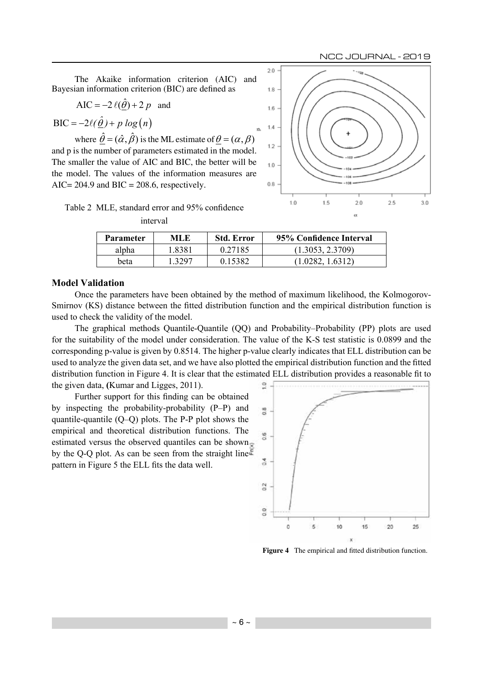The Akaike information criterion (AIC) and Bayesian information criterion (BIC) are defined as

$$
AIC = -2\ell(\hat{\theta}) + 2p \text{ and}
$$

 $BIC = -2\ell(\hat{\theta}) + p \log(n)$ 

where  $\hat{\theta} = (\hat{\alpha}, \hat{\beta})$  is the ML estimate of  $\theta = (\alpha, \beta)$ and p is the number of parameters estimated in the model. The smaller the value of AIC and BIC, the better will be the model. The values of the information measures are AIC=  $204.9$  and BIC =  $208.6$ , respectively.



| Table 2 MLE, standard error and 95% confidence |
|------------------------------------------------|
| interval                                       |

| <b>Parameter</b> | MLE.   | <b>Std. Error</b> | 95% Confidence Interval |
|------------------|--------|-------------------|-------------------------|
| alpha            | 1.8381 | 0.27185           | (1.3053, 2.3709)        |
| beta             | 1 3297 | 0.15382           | (1.0282, 1.6312)        |

## **Model Validation**

Once the parameters have been obtained by the method of maximum likelihood, the Kolmogorov-Smirnov (KS) distance between the fitted distribution function and the empirical distribution function is used to check the validity of the model.

The graphical methods Quantile-Quantile (QQ) and Probability–Probability (PP) plots are used for the suitability of the model under consideration. The value of the K-S test statistic is 0.0899 and the corresponding p-value is given by 0.8514. The higher p-value clearly indicates that ELL distribution can be used to analyze the given data set, and we have also plotted the empirical distribution function and the fitted distribution function in Figure 4. It is clear that the estimated ELL distribution provides a reasonable fit to the given data, **(**Kumar and Ligges, 2011).  $\overline{a}$ 

Further support for this finding can be obtained by inspecting the probability-probability (P–P) and quantile-quantile (Q–Q) plots. The P-P plot shows the empirical and theoretical distribution functions. The estimated versus the observed quantiles can be shown by the Q-Q plot. As can be seen from the straight line pattern in Figure 5 the ELL fits the data well.



**Figure 4** The empirical and fitted distribution function.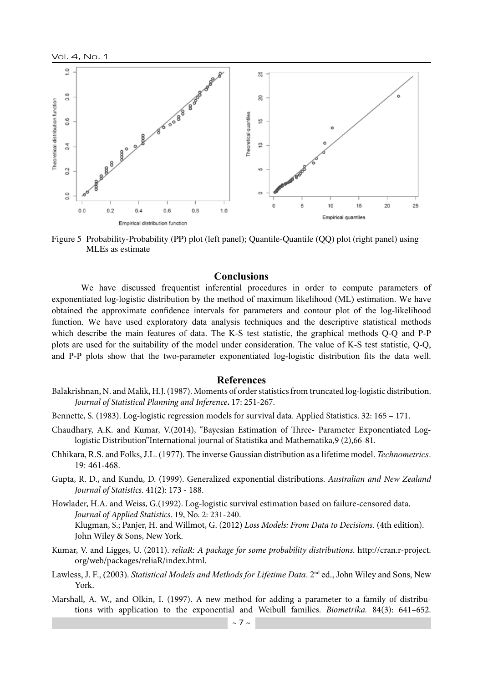

Figure 5 Probability-Probability (PP) plot (left panel); Quantile-Quantile (QQ) plot (right panel) using MLEs as estimate

#### **Conclusions**

We have discussed frequentist inferential procedures in order to compute parameters of exponentiated log-logistic distribution by the method of maximum likelihood (ML) estimation. We have obtained the approximate confidence intervals for parameters and contour plot of the log-likelihood function. We have used exploratory data analysis techniques and the descriptive statistical methods which describe the main features of data. The K-S test statistic, the graphical methods Q-Q and P-P plots are used for the suitability of the model under consideration. The value of K-S test statistic, Q-Q, and P-P plots show that the two-parameter exponentiated log-logistic distribution fits the data well.

## **References**

- Balakrishnan, N. and Malik, H.J. (1987). Moments of order statistics from truncated log-logistic distribution. *Journal of Statistical Planning and Inference***.** 17: 251-267.
- Bennette, S. (1983). Log-logistic regression models for survival data. Applied Statistics. 32: 165 171.
- Chaudhary, A.K. and Kumar, V.(2014), "Bayesian Estimation of Three- Parameter Exponentiated Loglogistic Distribution"International journal of Statistika and Mathematika,9 (2),66-81.
- Chhikara, R.S. and Folks, J.L. (1977). The inverse Gaussian distribution as a lifetime model. *Technometrics*. 19: 461-468.
- Gupta, R. D., and Kundu, D. (1999). Generalized exponential distributions. *Australian and New Zealand Journal of Statistics*. 41(2): 173 - 188.
- Howlader, H.A. and Weiss, G.(1992). Log-logistic survival estimation based on failure-censored data. *Journal of Applied Statistics*. 19, No. 2: 231-240. Klugman, S.; Panjer, H. and Willmot, G. (2012) *Loss Models: From Data to Decisions.* (4th edition). John Wiley & Sons, New York.
- Kumar, V. and Ligges, U. (2011). *reliaR: A package for some probability distributions*. http://cran.r-project. org/web/packages/reliaR/index.html.
- Lawless, J. F., (2003). *Statistical Models and Methods for Lifetime Data*. 2nd ed., John Wiley and Sons, New York.
- Marshall, A. W., and Olkin, I. (1997). A new method for adding a parameter to a family of distributions with application to the exponential and Weibull families. *Biometrika.* 84(3): 641–652.